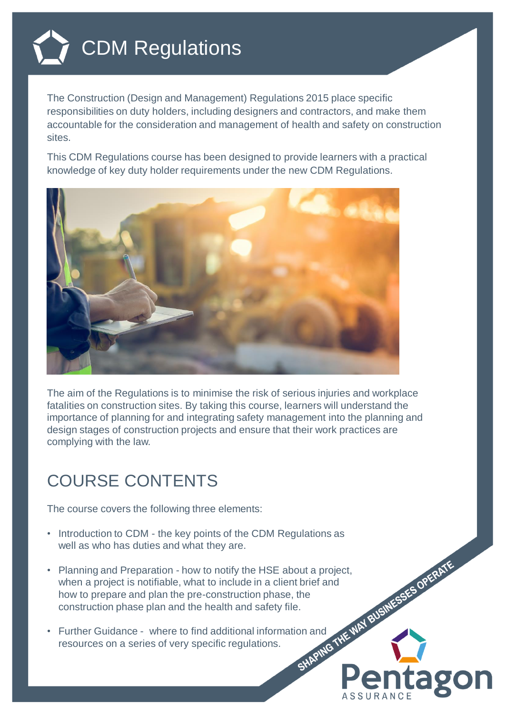

The Construction (Design and Management) Regulations 2015 place specific responsibilities on duty holders, including designers and contractors, and make them accountable for the consideration and management of health and safety on construction sites.

This CDM Regulations course has been designed to provide learners with a practical knowledge of key duty holder requirements under the new CDM Regulations.



The aim of the Regulations is to minimise the risk of serious injuries and workplace fatalities on construction sites. By taking this course, learners will understand the importance of planning for and integrating safety management into the planning and design stages of construction projects and ensure that their work practices are complying with the law.

**1320** 

## COURSE CONTENTS

The course covers the following three elements:

- Introduction to CDM the key points of the CDM Regulations as well as who has duties and what they are.
- Planning and Preparation how to notify the HSE about a project,<br>when a project is notifiable, what to include in a client brief and<br>how to prepare and plan the pre-construction phase, the<br>construction phase plan and th when a project is notifiable, what to include in a client brief and how to prepare and plan the pre-construction phase, the construction phase plan and the health and safety file.
- Further Guidance where to find additional information and resources on a series of very specific regulations.